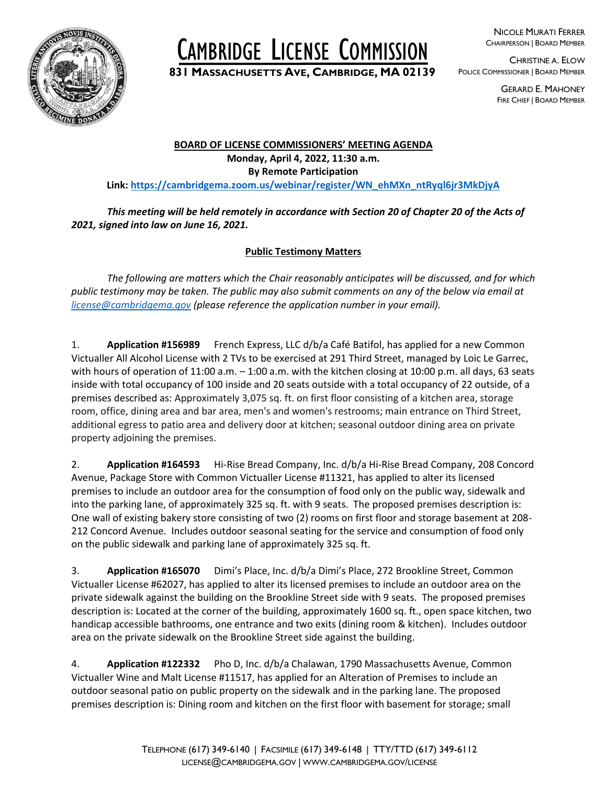

# CAMBRIDGE LICENSE COMMISSION

**<sup>831</sup> <sup>M</sup>ASSACHUSETTS AVE, <sup>C</sup>AMBRIDGE, MA <sup>02139</sup>**

NICOLE MURATI FERRER CHAIRPERSON | BOARD MEMBER

CHRISTINE A. ELOW POLICE COMMISSIONER | BOARD MEMBER

> GERARD E. MAHONEY FIRE CHIEF | BOARD MEMBER

#### **BOARD OF LICENSE COMMISSIONERS' MEETING AGENDA Monday, April 4, 2022, 11:30 a.m. By Remote Participation Link: [https://cambridgema.zoom.us/webinar/register/WN\\_ehMXn\\_ntRyql6jr3MkDjyA](https://cambridgema.zoom.us/webinar/register/WN_ehMXn_ntRyql6jr3MkDjyA)**

## *This meeting will be held remotely in accordance with Section 20 of Chapter 20 of the Acts of 2021, signed into law on June 16, 2021.*

## **Public Testimony Matters**

*The following are matters which the Chair reasonably anticipates will be discussed, and for which public testimony may be taken. The public may also submit comments on any of the below via email at [license@cambridgema.gov](mailto:license@cambridgema.gov) (please reference the application number in your email).*

1. **Application #156989** French Express, LLC d/b/a Café Batifol, has applied for a new Common Victualler All Alcohol License with 2 TVs to be exercised at 291 Third Street, managed by Loic Le Garrec, with hours of operation of 11:00 a.m. - 1:00 a.m. with the kitchen closing at 10:00 p.m. all days, 63 seats inside with total occupancy of 100 inside and 20 seats outside with a total occupancy of 22 outside, of a premises described as: Approximately 3,075 sq. ft. on first floor consisting of a kitchen area, storage room, office, dining area and bar area, men's and women's restrooms; main entrance on Third Street, additional egress to patio area and delivery door at kitchen; seasonal outdoor dining area on private property adjoining the premises.

2. **Application #164593** Hi-Rise Bread Company, Inc. d/b/a Hi-Rise Bread Company, 208 Concord Avenue, Package Store with Common Victualler License #11321, has applied to alter its licensed premises to include an outdoor area for the consumption of food only on the public way, sidewalk and into the parking lane, of approximately 325 sq. ft. with 9 seats. The proposed premises description is: One wall of existing bakery store consisting of two (2) rooms on first floor and storage basement at 208- 212 Concord Avenue. Includes outdoor seasonal seating for the service and consumption of food only on the public sidewalk and parking lane of approximately 325 sq. ft.

3. **Application #165070** Dimi's Place, Inc. d/b/a Dimi's Place, 272 Brookline Street, Common Victualler License #62027, has applied to alter its licensed premises to include an outdoor area on the private sidewalk against the building on the Brookline Street side with 9 seats. The proposed premises description is: Located at the corner of the building, approximately 1600 sq. ft., open space kitchen, two handicap accessible bathrooms, one entrance and two exits (dining room & kitchen). Includes outdoor area on the private sidewalk on the Brookline Street side against the building.

4. **Application #122332** Pho D, Inc. d/b/a Chalawan, 1790 Massachusetts Avenue, Common Victualler Wine and Malt License #11517, has applied for an Alteration of Premises to include an outdoor seasonal patio on public property on the sidewalk and in the parking lane. The proposed premises description is: Dining room and kitchen on the first floor with basement for storage; small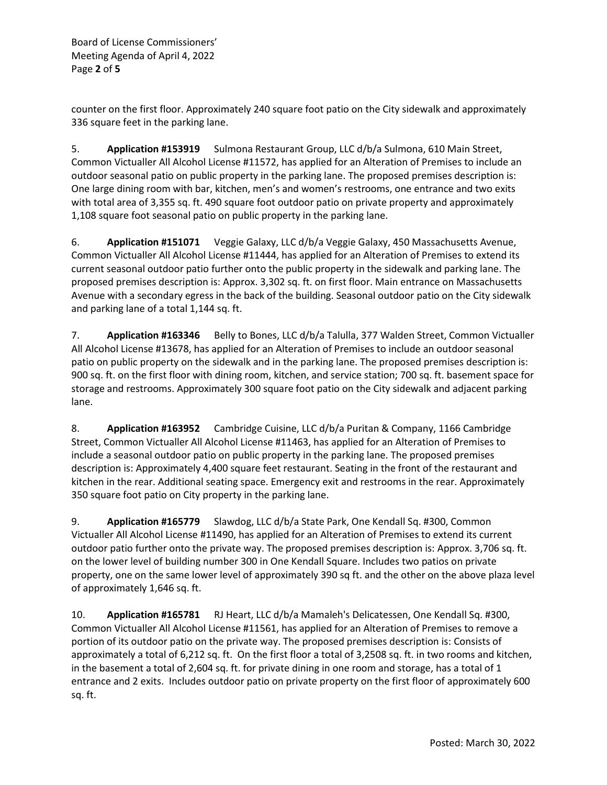Board of License Commissioners' Meeting Agenda of April 4, 2022 Page **2** of **5**

counter on the first floor. Approximately 240 square foot patio on the City sidewalk and approximately 336 square feet in the parking lane.

5. **Application #153919** Sulmona Restaurant Group, LLC d/b/a Sulmona, 610 Main Street, Common Victualler All Alcohol License #11572, has applied for an Alteration of Premises to include an outdoor seasonal patio on public property in the parking lane. The proposed premises description is: One large dining room with bar, kitchen, men's and women's restrooms, one entrance and two exits with total area of 3,355 sq. ft. 490 square foot outdoor patio on private property and approximately 1,108 square foot seasonal patio on public property in the parking lane.

6. **Application #151071** Veggie Galaxy, LLC d/b/a Veggie Galaxy, 450 Massachusetts Avenue, Common Victualler All Alcohol License #11444, has applied for an Alteration of Premises to extend its current seasonal outdoor patio further onto the public property in the sidewalk and parking lane. The proposed premises description is: Approx. 3,302 sq. ft. on first floor. Main entrance on Massachusetts Avenue with a secondary egress in the back of the building. Seasonal outdoor patio on the City sidewalk and parking lane of a total 1,144 sq. ft.

7. **Application #163346** Belly to Bones, LLC d/b/a Talulla, 377 Walden Street, Common Victualler All Alcohol License #13678, has applied for an Alteration of Premises to include an outdoor seasonal patio on public property on the sidewalk and in the parking lane. The proposed premises description is: 900 sq. ft. on the first floor with dining room, kitchen, and service station; 700 sq. ft. basement space for storage and restrooms. Approximately 300 square foot patio on the City sidewalk and adjacent parking lane.

8. **Application #163952** Cambridge Cuisine, LLC d/b/a Puritan & Company, 1166 Cambridge Street, Common Victualler All Alcohol License #11463, has applied for an Alteration of Premises to include a seasonal outdoor patio on public property in the parking lane. The proposed premises description is: Approximately 4,400 square feet restaurant. Seating in the front of the restaurant and kitchen in the rear. Additional seating space. Emergency exit and restrooms in the rear. Approximately 350 square foot patio on City property in the parking lane.

9. **Application #165779** Slawdog, LLC d/b/a State Park, One Kendall Sq. #300, Common Victualler All Alcohol License #11490, has applied for an Alteration of Premises to extend its current outdoor patio further onto the private way. The proposed premises description is: Approx. 3,706 sq. ft. on the lower level of building number 300 in One Kendall Square. Includes two patios on private property, one on the same lower level of approximately 390 sq ft. and the other on the above plaza level of approximately 1,646 sq. ft.

10. **Application #165781** RJ Heart, LLC d/b/a Mamaleh's Delicatessen, One Kendall Sq. #300, Common Victualler All Alcohol License #11561, has applied for an Alteration of Premises to remove a portion of its outdoor patio on the private way. The proposed premises description is: Consists of approximately a total of 6,212 sq. ft. On the first floor a total of 3,2508 sq. ft. in two rooms and kitchen, in the basement a total of 2,604 sq. ft. for private dining in one room and storage, has a total of 1 entrance and 2 exits. Includes outdoor patio on private property on the first floor of approximately 600 sq. ft.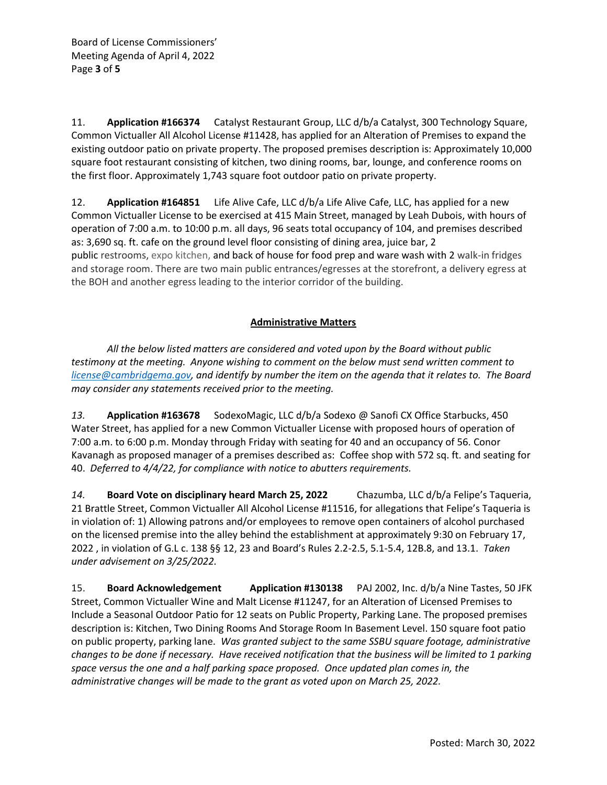11. **Application #166374** Catalyst Restaurant Group, LLC d/b/a Catalyst, 300 Technology Square, Common Victualler All Alcohol License #11428, has applied for an Alteration of Premises to expand the existing outdoor patio on private property. The proposed premises description is: Approximately 10,000 square foot restaurant consisting of kitchen, two dining rooms, bar, lounge, and conference rooms on the first floor. Approximately 1,743 square foot outdoor patio on private property.

12. **Application #164851** Life Alive Cafe, LLC d/b/a Life Alive Cafe, LLC, has applied for a new Common Victualler License to be exercised at 415 Main Street, managed by Leah Dubois, with hours of operation of 7:00 a.m. to 10:00 p.m. all days, 96 seats total occupancy of 104, and premises described as: 3,690 sq. ft. cafe on the ground level floor consisting of dining area, juice bar, 2 public restrooms, expo kitchen, and back of house for food prep and ware wash with 2 walk-in fridges and storage room. There are two main public entrances/egresses at the storefront, a delivery egress at the BOH and another egress leading to the interior corridor of the building.

### **Administrative Matters**

*All the below listed matters are considered and voted upon by the Board without public testimony at the meeting. Anyone wishing to comment on the below must send written comment to [license@cambridgema.gov,](mailto:license@cambridgema.gov) and identify by number the item on the agenda that it relates to. The Board may consider any statements received prior to the meeting.*

*13.* **Application #163678** SodexoMagic, LLC d/b/a Sodexo @ Sanofi CX Office Starbucks, 450 Water Street, has applied for a new Common Victualler License with proposed hours of operation of 7:00 a.m. to 6:00 p.m. Monday through Friday with seating for 40 and an occupancy of 56. Conor Kavanagh as proposed manager of a premises described as: Coffee shop with 572 sq. ft. and seating for 40. *Deferred to 4/4/22, for compliance with notice to abutters requirements.* 

*14.* **Board Vote on disciplinary heard March 25, 2022** Chazumba, LLC d/b/a Felipe's Taqueria, 21 Brattle Street, Common Victualler All Alcohol License #11516, for allegations that Felipe's Taqueria is in violation of: 1) Allowing patrons and/or employees to remove open containers of alcohol purchased on the licensed premise into the alley behind the establishment at approximately 9:30 on February 17, 2022 , in violation of G.L c. 138 §§ 12, 23 and Board's Rules 2.2-2.5, 5.1-5.4, 12B.8, and 13.1. *Taken under advisement on 3/25/2022.*

15. **Board Acknowledgement Application #130138** PAJ 2002, Inc. d/b/a Nine Tastes, 50 JFK Street, Common Victualler Wine and Malt License #11247, for an Alteration of Licensed Premises to Include a Seasonal Outdoor Patio for 12 seats on Public Property, Parking Lane. The proposed premises description is: Kitchen, Two Dining Rooms And Storage Room In Basement Level. 150 square foot patio on public property, parking lane. *Was granted subject to the same SSBU square footage, administrative changes to be done if necessary. Have received notification that the business will be limited to 1 parking space versus the one and a half parking space proposed. Once updated plan comes in, the administrative changes will be made to the grant as voted upon on March 25, 2022.*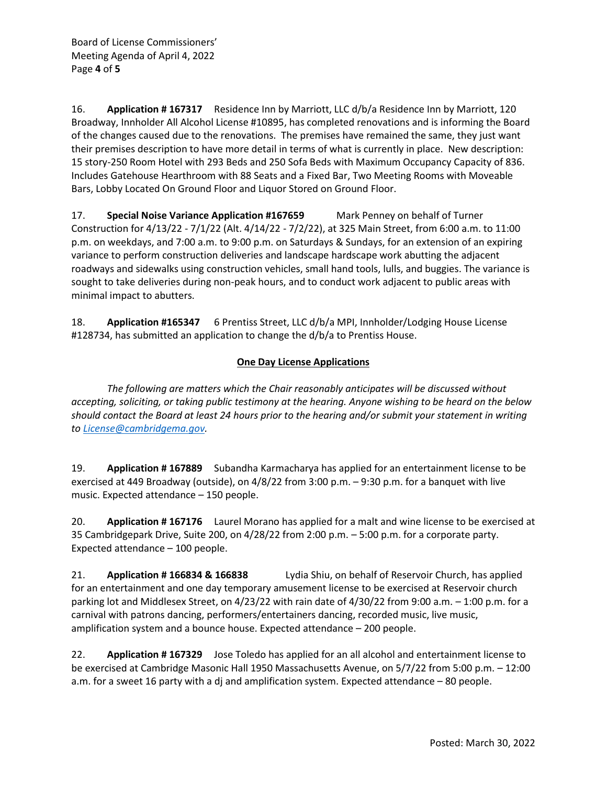16. **Application # 167317** Residence Inn by Marriott, LLC d/b/a Residence Inn by Marriott, 120 Broadway, Innholder All Alcohol License #10895, has completed renovations and is informing the Board of the changes caused due to the renovations. The premises have remained the same, they just want their premises description to have more detail in terms of what is currently in place. New description: 15 story-250 Room Hotel with 293 Beds and 250 Sofa Beds with Maximum Occupancy Capacity of 836. Includes Gatehouse Hearthroom with 88 Seats and a Fixed Bar, Two Meeting Rooms with Moveable Bars, Lobby Located On Ground Floor and Liquor Stored on Ground Floor.

17. **Special Noise Variance Application #167659** Mark Penney on behalf of Turner Construction for 4/13/22 - 7/1/22 (Alt. 4/14/22 - 7/2/22), at 325 Main Street, from 6:00 a.m. to 11:00 p.m. on weekdays, and 7:00 a.m. to 9:00 p.m. on Saturdays & Sundays, for an extension of an expiring variance to perform construction deliveries and landscape hardscape work abutting the adjacent roadways and sidewalks using construction vehicles, small hand tools, lulls, and buggies. The variance is sought to take deliveries during non-peak hours, and to conduct work adjacent to public areas with minimal impact to abutters.

18. **Application #165347** 6 Prentiss Street, LLC d/b/a MPI, Innholder/Lodging House License #128734, has submitted an application to change the d/b/a to Prentiss House.

### **One Day License Applications**

*The following are matters which the Chair reasonably anticipates will be discussed without accepting, soliciting, or taking public testimony at the hearing. Anyone wishing to be heard on the below should contact the Board at least 24 hours prior to the hearing and/or submit your statement in writing to [License@cambridgema.gov.](mailto:License@cambridgema.gov)*

19. **Application # 167889** Subandha Karmacharya has applied for an entertainment license to be exercised at 449 Broadway (outside), on 4/8/22 from 3:00 p.m. – 9:30 p.m. for a banquet with live music. Expected attendance – 150 people.

20. **Application # 167176** Laurel Morano has applied for a malt and wine license to be exercised at 35 Cambridgepark Drive, Suite 200, on 4/28/22 from 2:00 p.m. – 5:00 p.m. for a corporate party. Expected attendance – 100 people.

21. **Application # 166834 & 166838** Lydia Shiu, on behalf of Reservoir Church, has applied for an entertainment and one day temporary amusement license to be exercised at Reservoir church parking lot and Middlesex Street, on 4/23/22 with rain date of 4/30/22 from 9:00 a.m. – 1:00 p.m. for a carnival with patrons dancing, performers/entertainers dancing, recorded music, live music, amplification system and a bounce house. Expected attendance – 200 people.

22. **Application # 167329** Jose Toledo has applied for an all alcohol and entertainment license to be exercised at Cambridge Masonic Hall 1950 Massachusetts Avenue, on 5/7/22 from 5:00 p.m. – 12:00 a.m. for a sweet 16 party with a dj and amplification system. Expected attendance – 80 people.